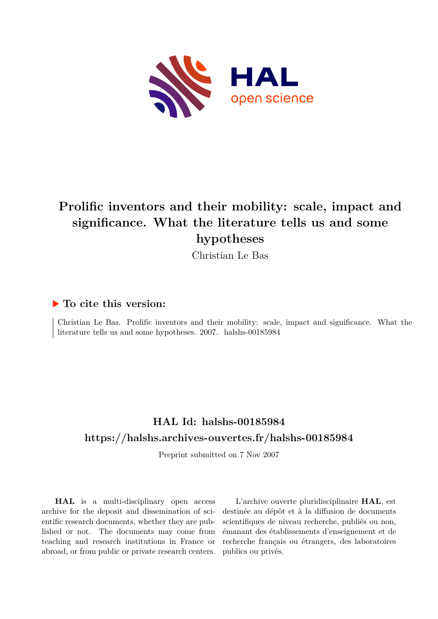

# **Prolific inventors and their mobility: scale, impact and significance. What the literature tells us and some hypotheses**

Christian Le Bas

### **To cite this version:**

Christian Le Bas. Prolific inventors and their mobility: scale, impact and significance. What the literature tells us and some hypotheses.  $2007$ . halshs-00185984

# **HAL Id: halshs-00185984 <https://halshs.archives-ouvertes.fr/halshs-00185984>**

Preprint submitted on 7 Nov 2007

**HAL** is a multi-disciplinary open access archive for the deposit and dissemination of scientific research documents, whether they are published or not. The documents may come from teaching and research institutions in France or abroad, or from public or private research centers.

L'archive ouverte pluridisciplinaire **HAL**, est destinée au dépôt et à la diffusion de documents scientifiques de niveau recherche, publiés ou non, émanant des établissements d'enseignement et de recherche français ou étrangers, des laboratoires publics ou privés.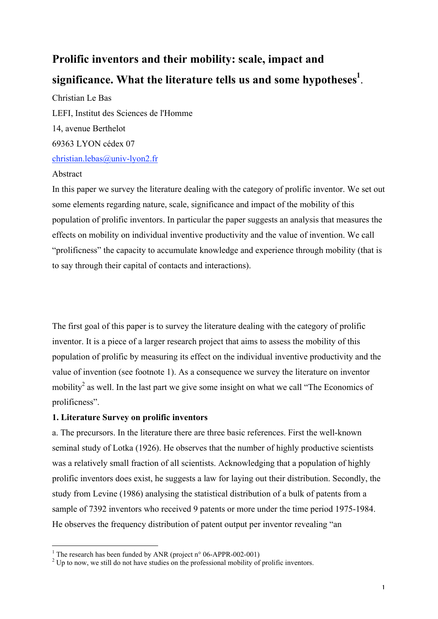# **Prolific inventors and their mobility: scale, impact and significance. What the literature tells us and some hypotheses<sup>1</sup>** .

Christian Le Bas LEFI, Institut des Sciences de l'Homme 14, avenue Berthelot 69363 LYON cédex 07 christian.lebas@univ-lyon2.fr

#### Abstract

In this paper we survey the literature dealing with the category of prolific inventor. We set out some elements regarding nature, scale, significance and impact of the mobility of this population of prolific inventors. In particular the paper suggests an analysis that measures the effects on mobility on individual inventive productivity and the value of invention. We call "prolificness" the capacity to accumulate knowledge and experience through mobility (that is to say through their capital of contacts and interactions).

The first goal of this paper is to survey the literature dealing with the category of prolific inventor. It is a piece of a larger research project that aims to assess the mobility of this population of prolific by measuring its effect on the individual inventive productivity and the value of invention (see footnote 1). As a consequence we survey the literature on inventor mobility<sup>2</sup> as well. In the last part we give some insight on what we call "The Economics of prolificness".

### **1. Literature Survey on prolific inventors**

a. The precursors. In the literature there are three basic references. First the well-known seminal study of Lotka (1926). He observes that the number of highly productive scientists was a relatively small fraction of all scientists. Acknowledging that a population of highly prolific inventors does exist, he suggests a law for laying out their distribution. Secondly, the study from Levine (1986) analysing the statistical distribution of a bulk of patents from a sample of 7392 inventors who received 9 patents or more under the time period 1975-1984. He observes the frequency distribution of patent output per inventor revealing "an

<sup>&</sup>lt;sup>1</sup> The research has been funded by ANR (project n° 06-APPR-002-001)

 $2^2$  Up to now, we still do not have studies on the professional mobility of prolific inventors.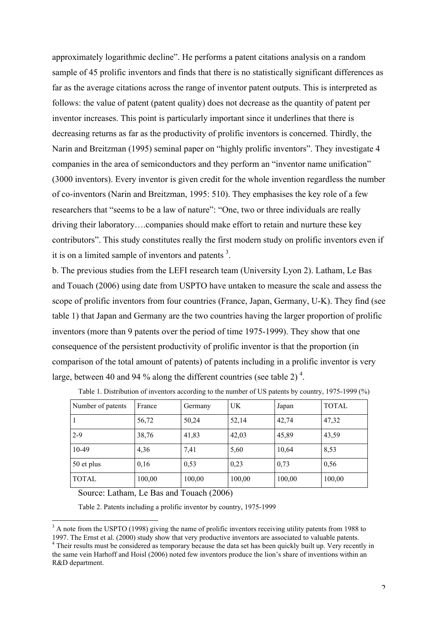approximately logarithmic decline". He performs a patent citations analysis on a random sample of 45 prolific inventors and finds that there is no statistically significant differences as far as the average citations across the range of inventor patent outputs. This is interpreted as follows: the value of patent (patent quality) does not decrease as the quantity of patent per inventor increases. This point is particularly important since it underlines that there is decreasing returns as far as the productivity of prolific inventors is concerned. Thirdly, the Narin and Breitzman (1995) seminal paper on "highly prolific inventors". They investigate 4 companies in the area of semiconductors and they perform an "inventor name unification" (3000 inventors). Every inventor is given credit for the whole invention regardless the number of co-inventors (Narin and Breitzman, 1995: 510). They emphasises the key role of a few researchers that "seems to be a law of nature": "One, two or three individuals are really driving their laboratory….companies should make effort to retain and nurture these key contributors". This study constitutes really the first modern study on prolific inventors even if it is on a limited sample of inventors and patents<sup>3</sup>.

b. The previous studies from the LEFI research team (University Lyon 2). Latham, Le Bas and Touach (2006) using date from USPTO have untaken to measure the scale and assess the scope of prolific inventors from four countries (France, Japan, Germany, U-K). They find (see table 1) that Japan and Germany are the two countries having the larger proportion of prolific inventors (more than 9 patents over the period of time 1975-1999). They show that one consequence of the persistent productivity of prolific inventor is that the proportion (in comparison of the total amount of patents) of patents including in a prolific inventor is very large, between 40 and 94 % along the different countries (see table 2)<sup>4</sup>.

| Number of patents | France | Germany | UK.    | Japan  | <b>TOTAL</b> |
|-------------------|--------|---------|--------|--------|--------------|
|                   | 56,72  | 50,24   | 52,14  | 42,74  | 47,32        |
| $2 - 9$           | 38,76  | 41,83   | 42,03  | 45,89  | 43,59        |
| 10-49             | 4,36   | 7,41    | 5,60   | 10,64  | 8,53         |
| 50 et plus        | 0,16   | 0,53    | 0,23   | 0,73   | 0,56         |
| <b>TOTAL</b>      | 100,00 | 100,00  | 100,00 | 100,00 | 100,00       |

Table 1. Distribution of inventors according to the number of US patents by country, 1975-1999 (%)

Source: Latham, Le Bas and Touach (2006)

 $\overline{a}$ 

Table 2. Patents including a prolific inventor by country, 1975-1999

<sup>&</sup>lt;sup>3</sup> A note from the USPTO (1998) giving the name of prolific inventors receiving utility patents from 1988 to 1997. The Ernst et al. (2000) study show that very productive inventors are associated to valuable patents.

<sup>&</sup>lt;sup>4</sup> Their results must be considered as temporary because the data set has been quickly built up. Very recently in the same vein Harhoff and Hoisl (2006) noted few inventors produce the lion's share of inventions within an R&D department.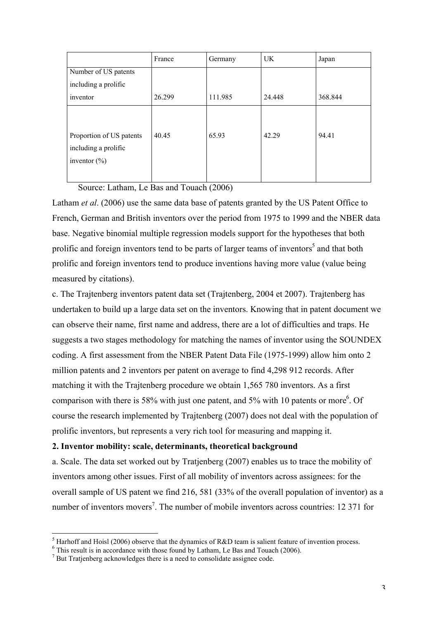|                                                                     | France | Germany | UK.    | Japan   |
|---------------------------------------------------------------------|--------|---------|--------|---------|
| Number of US patents                                                |        |         |        |         |
| including a prolific                                                |        |         |        |         |
| inventor                                                            | 26.299 | 111.985 | 24.448 | 368.844 |
| Proportion of US patents<br>including a prolific<br>inventor $(\%)$ | 40.45  | 65.93   | 42.29  | 94.41   |

Source: Latham, Le Bas and Touach (2006)

Latham *et al*. (2006) use the same data base of patents granted by the US Patent Office to French, German and British inventors over the period from 1975 to 1999 and the NBER data base. Negative binomial multiple regression models support for the hypotheses that both prolific and foreign inventors tend to be parts of larger teams of inventors<sup>5</sup> and that both prolific and foreign inventors tend to produce inventions having more value (value being measured by citations).

c. The Trajtenberg inventors patent data set (Trajtenberg, 2004 et 2007). Trajtenberg has undertaken to build up a large data set on the inventors. Knowing that in patent document we can observe their name, first name and address, there are a lot of difficulties and traps. He suggests a two stages methodology for matching the names of inventor using the SOUNDEX coding. A first assessment from the NBER Patent Data File (1975-1999) allow him onto 2 million patents and 2 inventors per patent on average to find 4,298 912 records. After matching it with the Trajtenberg procedure we obtain 1,565 780 inventors. As a first comparison with there is 58% with just one patent, and 5% with 10 patents or more  $6$ . Of course the research implemented by Trajtenberg (2007) does not deal with the population of prolific inventors, but represents a very rich tool for measuring and mapping it.

#### **2. Inventor mobility: scale, determinants, theoretical background**

a. Scale. The data set worked out by Tratjenberg (2007) enables us to trace the mobility of inventors among other issues. First of all mobility of inventors across assignees: for the overall sample of US patent we find 216, 581 (33% of the overall population of inventor) as a number of inventors movers<sup>7</sup>. The number of mobile inventors across countries: 12 371 for

<sup>&</sup>lt;sup>5</sup> Harhoff and Hoisl (2006) observe that the dynamics of R&D team is salient feature of invention process.

<sup>&</sup>lt;sup>6</sup> This result is in accordance with those found by Latham, Le Bas and Touach (2006).

 $7$  But Tratjenberg acknowledges there is a need to consolidate assignee code.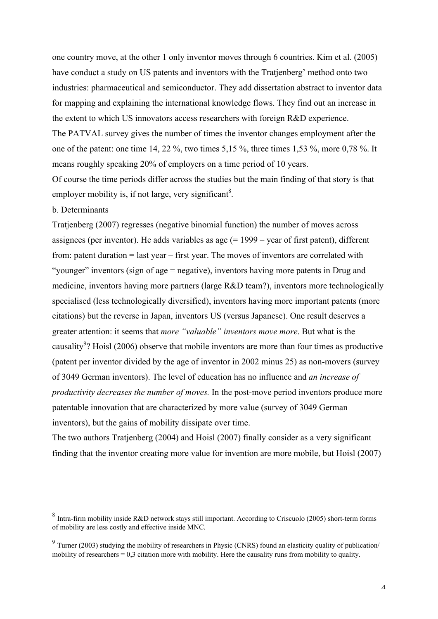one country move, at the other 1 only inventor moves through 6 countries. Kim et al. (2005) have conduct a study on US patents and inventors with the Tratjenberg' method onto two industries: pharmaceutical and semiconductor. They add dissertation abstract to inventor data for mapping and explaining the international knowledge flows. They find out an increase in the extent to which US innovators access researchers with foreign R&D experience. The PATVAL survey gives the number of times the inventor changes employment after the one of the patent: one time 14, 22 %, two times 5,15 %, three times 1,53 %, more 0,78 %. It means roughly speaking 20% of employers on a time period of 10 years. Of course the time periods differ across the studies but the main finding of that story is that

## b. Determinants

 $\overline{a}$ 

employer mobility is, if not large, very significant<sup>8</sup>.

Tratjenberg (2007) regresses (negative binomial function) the number of moves across assignees (per inventor). He adds variables as age (= 1999 – year of first patent), different from: patent duration = last year – first year. The moves of inventors are correlated with "younger" inventors (sign of age = negative), inventors having more patents in Drug and medicine, inventors having more partners (large R&D team?), inventors more technologically specialised (less technologically diversified), inventors having more important patents (more citations) but the reverse in Japan, inventors US (versus Japanese). One result deserves a greater attention: it seems that *more "valuable" inventors move more*. But what is the causality<sup>9</sup>? Hoisl (2006) observe that mobile inventors are more than four times as productive (patent per inventor divided by the age of inventor in 2002 minus 25) as non-movers (survey of 3049 German inventors). The level of education has no influence and *an increase of productivity decreases the number of moves.* In the post-move period inventors produce more patentable innovation that are characterized by more value (survey of 3049 German inventors), but the gains of mobility dissipate over time.

The two authors Tratjenberg (2004) and Hoisl (2007) finally consider as a very significant finding that the inventor creating more value for invention are more mobile, but Hoisl (2007)

 $8$  Intra-firm mobility inside R&D network stays still important. According to Criscuolo (2005) short-term forms of mobility are less costly and effective inside MNC.

 $9$  Turner (2003) studying the mobility of researchers in Physic (CNRS) found an elasticity quality of publication/ mobility of researchers = 0,3 citation more with mobility. Here the causality runs from mobility to quality.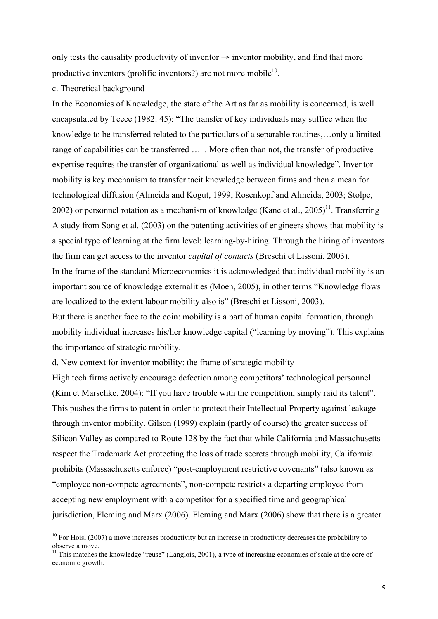only tests the causality productivity of inventor  $\rightarrow$  inventor mobility, and find that more productive inventors (prolific inventors?) are not more mobile $10$ .

c. Theoretical background

In the Economics of Knowledge, the state of the Art as far as mobility is concerned, is well encapsulated by Teece (1982: 45): "The transfer of key individuals may suffice when the knowledge to be transferred related to the particulars of a separable routines,…only a limited range of capabilities can be transferred … . More often than not, the transfer of productive expertise requires the transfer of organizational as well as individual knowledge". Inventor mobility is key mechanism to transfer tacit knowledge between firms and then a mean for technological diffusion (Almeida and Kogut, 1999; Rosenkopf and Almeida, 2003; Stolpe, 2002) or personnel rotation as a mechanism of knowledge (Kane et al., 2005)<sup>11</sup>. Transferring A study from Song et al. (2003) on the patenting activities of engineers shows that mobility is a special type of learning at the firm level: learning-by-hiring. Through the hiring of inventors the firm can get access to the inventor *capital of contacts* (Breschi et Lissoni, 2003). In the frame of the standard Microeconomics it is acknowledged that individual mobility is an important source of knowledge externalities (Moen, 2005), in other terms "Knowledge flows

But there is another face to the coin: mobility is a part of human capital formation, through mobility individual increases his/her knowledge capital ("learning by moving"). This explains the importance of strategic mobility.

d. New context for inventor mobility: the frame of strategic mobility

are localized to the extent labour mobility also is" (Breschi et Lissoni, 2003).

High tech firms actively encourage defection among competitors' technological personnel (Kim et Marschke, 2004): "If you have trouble with the competition, simply raid its talent". This pushes the firms to patent in order to protect their Intellectual Property against leakage through inventor mobility. Gilson (1999) explain (partly of course) the greater success of Silicon Valley as compared to Route 128 by the fact that while California and Massachusetts respect the Trademark Act protecting the loss of trade secrets through mobility, Califormia prohibits (Massachusetts enforce) "post-employment restrictive covenants" (also known as "employee non-compete agreements", non-compete restricts a departing employee from accepting new employment with a competitor for a specified time and geographical jurisdiction, Fleming and Marx (2006). Fleming and Marx (2006) show that there is a greater

<sup>&</sup>lt;sup>10</sup> For Hoisl (2007) a move increases productivity but an increase in productivity decreases the probability to observe a move.

<sup>&</sup>lt;sup>11</sup> This matches the knowledge "reuse" (Langlois, 2001), a type of increasing economies of scale at the core of economic growth.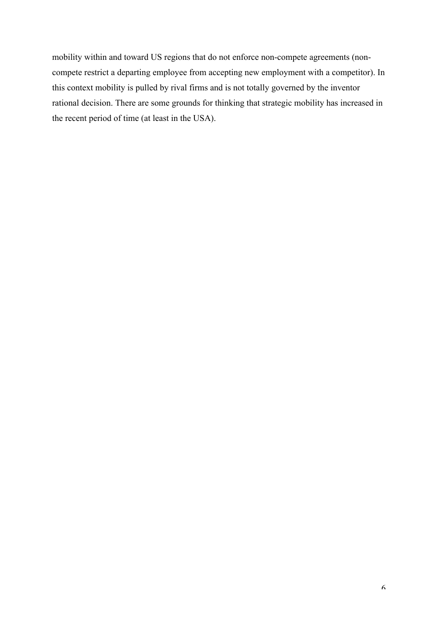mobility within and toward US regions that do not enforce non-compete agreements (noncompete restrict a departing employee from accepting new employment with a competitor). In this context mobility is pulled by rival firms and is not totally governed by the inventor rational decision. There are some grounds for thinking that strategic mobility has increased in the recent period of time (at least in the USA).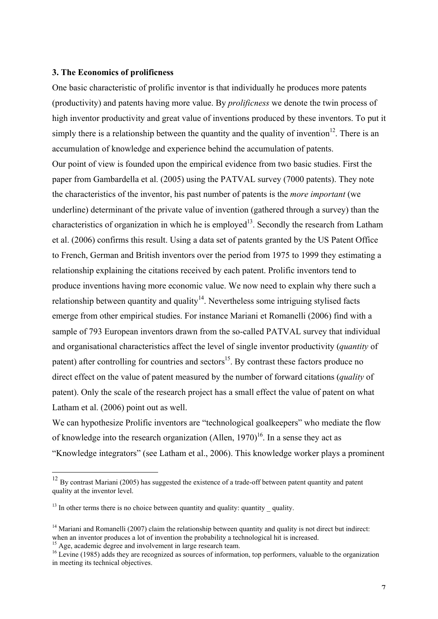#### **3. The Economics of prolificness**

One basic characteristic of prolific inventor is that individually he produces more patents (productivity) and patents having more value. By *prolificness* we denote the twin process of high inventor productivity and great value of inventions produced by these inventors. To put it simply there is a relationship between the quantity and the quality of invention<sup>12</sup>. There is an accumulation of knowledge and experience behind the accumulation of patents. Our point of view is founded upon the empirical evidence from two basic studies. First the paper from Gambardella et al. (2005) using the PATVAL survey (7000 patents). They note the characteristics of the inventor, his past number of patents is the *more important* (we underline) determinant of the private value of invention (gathered through a survey) than the characteristics of organization in which he is employed<sup>13</sup>. Secondly the research from Latham et al. (2006) confirms this result. Using a data set of patents granted by the US Patent Office to French, German and British inventors over the period from 1975 to 1999 they estimating a relationship explaining the citations received by each patent. Prolific inventors tend to produce inventions having more economic value. We now need to explain why there such a relationship between quantity and quality $14$ . Nevertheless some intriguing stylised facts emerge from other empirical studies. For instance Mariani et Romanelli (2006) find with a sample of 793 European inventors drawn from the so-called PATVAL survey that individual and organisational characteristics affect the level of single inventor productivity (*quantity* of patent) after controlling for countries and sectors<sup>15</sup>. By contrast these factors produce no direct effect on the value of patent measured by the number of forward citations (*quality* of patent). Only the scale of the research project has a small effect the value of patent on what Latham et al. (2006) point out as well.

We can hypothesize Prolific inventors are "technological goalkeepers" who mediate the flow of knowledge into the research organization (Allen,  $1970$ )<sup>16</sup>. In a sense they act as "Knowledge integrators" (see Latham et al., 2006). This knowledge worker plays a prominent

 $\overline{a}$ 

<sup>&</sup>lt;sup>12</sup> By contrast Mariani (2005) has suggested the existence of a trade-off between patent quantity and patent quality at the inventor level.

 $13$  In other terms there is no choice between quantity and quality: quantity  $\overline{\phantom{a}}$  quality.

<sup>&</sup>lt;sup>14</sup> Mariani and Romanelli (2007) claim the relationship between quantity and quality is not direct but indirect: when an inventor produces a lot of invention the probability a technological hit is increased.

<sup>&</sup>lt;sup>15</sup> Age, academic degree and involvement in large research team.

<sup>&</sup>lt;sup>16</sup> Levine (1985) adds they are recognized as sources of information, top performers, valuable to the organization in meeting its technical objectives.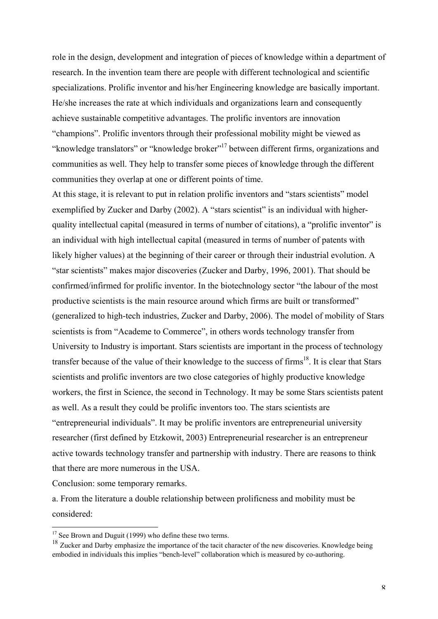role in the design, development and integration of pieces of knowledge within a department of research. In the invention team there are people with different technological and scientific specializations. Prolific inventor and his/her Engineering knowledge are basically important. He/she increases the rate at which individuals and organizations learn and consequently achieve sustainable competitive advantages. The prolific inventors are innovation "champions". Prolific inventors through their professional mobility might be viewed as "knowledge translators" or "knowledge broker"<sup>17</sup> between different firms, organizations and communities as well. They help to transfer some pieces of knowledge through the different communities they overlap at one or different points of time.

At this stage, it is relevant to put in relation prolific inventors and "stars scientists" model exemplified by Zucker and Darby (2002). A "stars scientist" is an individual with higherquality intellectual capital (measured in terms of number of citations), a "prolific inventor" is an individual with high intellectual capital (measured in terms of number of patents with likely higher values) at the beginning of their career or through their industrial evolution. A "star scientists" makes major discoveries (Zucker and Darby, 1996, 2001). That should be confirmed/infirmed for prolific inventor. In the biotechnology sector "the labour of the most productive scientists is the main resource around which firms are built or transformed" (generalized to high-tech industries, Zucker and Darby, 2006). The model of mobility of Stars scientists is from "Academe to Commerce", in others words technology transfer from University to Industry is important. Stars scientists are important in the process of technology transfer because of the value of their knowledge to the success of firms<sup>18</sup>. It is clear that Stars scientists and prolific inventors are two close categories of highly productive knowledge workers, the first in Science, the second in Technology. It may be some Stars scientists patent as well. As a result they could be prolific inventors too. The stars scientists are "entrepreneurial individuals". It may be prolific inventors are entrepreneurial university researcher (first defined by Etzkowit, 2003) Entrepreneurial researcher is an entrepreneur active towards technology transfer and partnership with industry. There are reasons to think that there are more numerous in the USA.

Conclusion: some temporary remarks.

a. From the literature a double relationship between prolificness and mobility must be considered:

<sup>&</sup>lt;sup>17</sup> See Brown and Duguit (1999) who define these two terms.

<sup>&</sup>lt;sup>18</sup> Zucker and Darby emphasize the importance of the tacit character of the new discoveries. Knowledge being embodied in individuals this implies "bench-level" collaboration which is measured by co-authoring.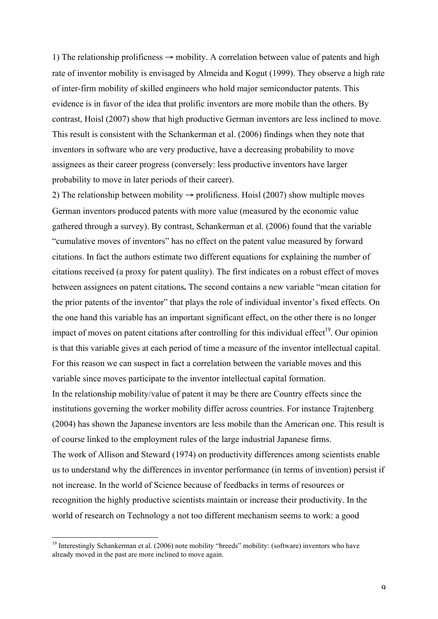1) The relationship prolificness  $\rightarrow$  mobility. A correlation between value of patents and high rate of inventor mobility is envisaged by Almeida and Kogut (1999). They observe a high rate of inter-firm mobility of skilled engineers who hold major semiconductor patents. This evidence is in favor of the idea that prolific inventors are more mobile than the others. By contrast, Hoisl (2007) show that high productive German inventors are less inclined to move. This result is consistent with the Schankerman et al. (2006) findings when they note that inventors in software who are very productive, have a decreasing probability to move assignees as their career progress (conversely: less productive inventors have larger probability to move in later periods of their career).

2) The relationship between mobility  $\rightarrow$  prolificness. Hoisl (2007) show multiple moves German inventors produced patents with more value (measured by the economic value gathered through a survey). By contrast, Schankerman et al. (2006) found that the variable "cumulative moves of inventors" has no effect on the patent value measured by forward citations. In fact the authors estimate two different equations for explaining the number of citations received (a proxy for patent quality). The first indicates on a robust effect of moves between assignees on patent citations**.** The second contains a new variable "mean citation for the prior patents of the inventor" that plays the role of individual inventor's fixed effects. On the one hand this variable has an important significant effect, on the other there is no longer impact of moves on patent citations after controlling for this individual effect<sup>19</sup>. Our opinion is that this variable gives at each period of time a measure of the inventor intellectual capital. For this reason we can suspect in fact a correlation between the variable moves and this variable since moves participate to the inventor intellectual capital formation. In the relationship mobility/value of patent it may be there are Country effects since the institutions governing the worker mobility differ across countries. For instance Trajtenberg (2004) has shown the Japanese inventors are less mobile than the American one. This result is of course linked to the employment rules of the large industrial Japanese firms.

The work of Allison and Steward (1974) on productivity differences among scientists enable us to understand why the differences in inventor performance (in terms of invention) persist if not increase. In the world of Science because of feedbacks in terms of resources or recognition the highly productive scientists maintain or increase their productivity. In the world of research on Technology a not too different mechanism seems to work: a good

<sup>&</sup>lt;sup>19</sup> Interestingly Schankerman et al. (2006) note mobility "breeds" mobility: (software) inventors who have already moved in the past are more inclined to move again.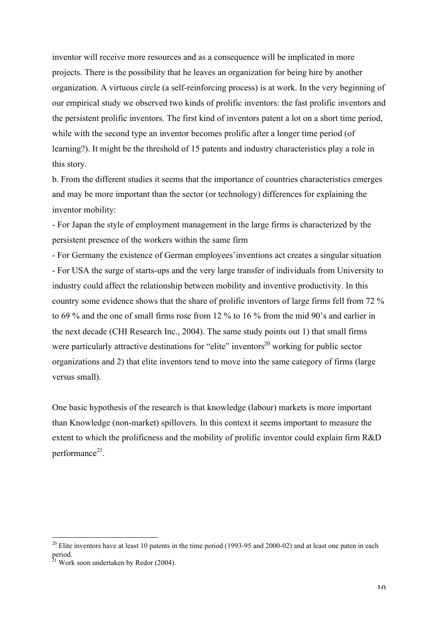inventor will receive more resources and as a consequence will be implicated in more projects. There is the possibility that he leaves an organization for being hire by another organization. A virtuous circle (a self-reinforcing process) is at work. In the very beginning of our empirical study we observed two kinds of prolific inventors: the fast prolific inventors and the persistent prolific inventors. The first kind of inventors patent a lot on a short time period, while with the second type an inventor becomes prolific after a longer time period (of learning?). It might be the threshold of 15 patents and industry characteristics play a role in this story.

b. From the different studies it seems that the importance of countries characteristics emerges and may be more important than the sector (or technology) differences for explaining the inventor mobility:

- For Japan the style of employment management in the large firms is characterized by the persistent presence of the workers within the same firm

- For Germany the existence of German employees'inventions act creates a singular situation - For USA the surge of starts-ups and the very large transfer of individuals from University to industry could affect the relationship between mobility and inventive productivity. In this country some evidence shows that the share of prolific inventors of large firms fell from 72 % to 69 % and the one of small firms rose from 12 % to 16 % from the mid 90's and earlier in the next decade (CHI Research Inc., 2004). The same study points out 1) that small firms were particularly attractive destinations for "elite" inventors<sup>20</sup> working for public sector organizations and 2) that elite inventors tend to move into the same category of firms (large versus small).

One basic hypothesis of the research is that knowledge (labour) markets is more important than Knowledge (non-market) spillovers. In this context it seems important to measure the extent to which the prolificness and the mobility of prolific inventor could explain firm R&D performance<sup>21</sup>.

<sup>&</sup>lt;sup>20</sup> Elite inventors have at least 10 patents in the time period (1993-95 and 2000-02) and at least one paten in each period.

<sup>21</sup> Work soon undertaken by Redor (2004).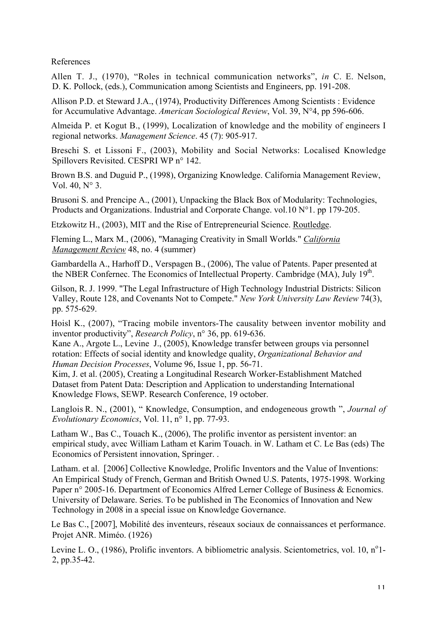References

Allen T. J., (1970), "Roles in technical communication networks", *in* C. E. Nelson, D. K. Pollock, (eds.), Communication among Scientists and Engineers, pp. 191-208.

Allison P.D. et Steward J.A., (1974), Productivity Differences Among Scientists : Evidence for Accumulative Advantage. *American Sociological Review*, Vol. 39, N°4, pp 596-606.

Almeida P. et Kogut B., (1999), Localization of knowledge and the mobility of engineers I regional networks. *Management Science*. 45 (7): 905-917.

Breschi S. et Lissoni F., (2003), Mobility and Social Networks: Localised Knowledge Spillovers Revisited. CESPRI WP n° 142.

Brown B.S. and Duguid P., (1998), Organizing Knowledge. California Management Review, Vol. 40, N° 3.

Brusoni S. and Prencipe A., (2001), Unpacking the Black Box of Modularity: Technologies, Products and Organizations. Industrial and Corporate Change. vol.10 N°1. pp 179-205.

Etzkowitz H., (2003), MIT and the Rise of Entrepreneurial Science. Routledge.

Fleming L., Marx M., (2006), "Managing Creativity in Small Worlds." *California Management Review* 48, no. 4 (summer)

Gambardella A., Harhoff D., Verspagen B., (2006), The value of Patents. Paper presented at the NBER Confernec. The Economics of Intellectual Property. Cambridge (MA), July 19<sup>th</sup>.

Gilson, R. J. 1999. "The Legal Infrastructure of High Technology Industrial Districts: Silicon Valley, Route 128, and Covenants Not to Compete." *New York University Law Review* 74(3), pp. 575-629.

Hoisl K., (2007), "Tracing mobile inventors-The causality between inventor mobility and inventor productivity", *Research Policy*, n° 36, pp. 619-636.

Kane A., Argote L., Levine J., (2005), Knowledge transfer between groups via personnel rotation: Effects of social identity and knowledge quality, *Organizational Behavior and Human Decision Processes*, Volume 96, Issue 1, pp. 56-71.

Kim, J. et al. (2005), Creating a Longitudinal Research Worker-Establishment Matched Dataset from Patent Data: Description and Application to understanding International Knowledge Flows, SEWP. Research Conference, 19 october.

Langlois R. N., (2001), " Knowledge, Consumption, and endogeneous growth ", *Journal of Evolutionary Economics*, Vol. 11, n° 1, pp. 77-93.

Latham W., Bas C., Touach K., (2006), The prolific inventor as persistent inventor: an empirical study, avec William Latham et Karim Touach. in W. Latham et C. Le Bas (eds) The Economics of Persistent innovation, Springer. .

Latham. et al. [2006] Collective Knowledge, Prolific Inventors and the Value of Inventions: An Empirical Study of French, German and British Owned U.S. Patents, 1975-1998. Working Paper n° 2005-16. Department of Economics Alfred Lerner College of Business & Ecnomics. University of Delaware. Series. To be published in The Economics of Innovation and New Technology in 2008 in a special issue on Knowledge Governance.

Le Bas C., [2007], Mobilité des inventeurs, réseaux sociaux de connaissances et performance. Projet ANR. Miméo. (1926)

Levine L. O., (1986), Prolific inventors. A bibliometric analysis. Scientometrics, vol. 10, n<sup>o</sup>1-2, pp.35-42.